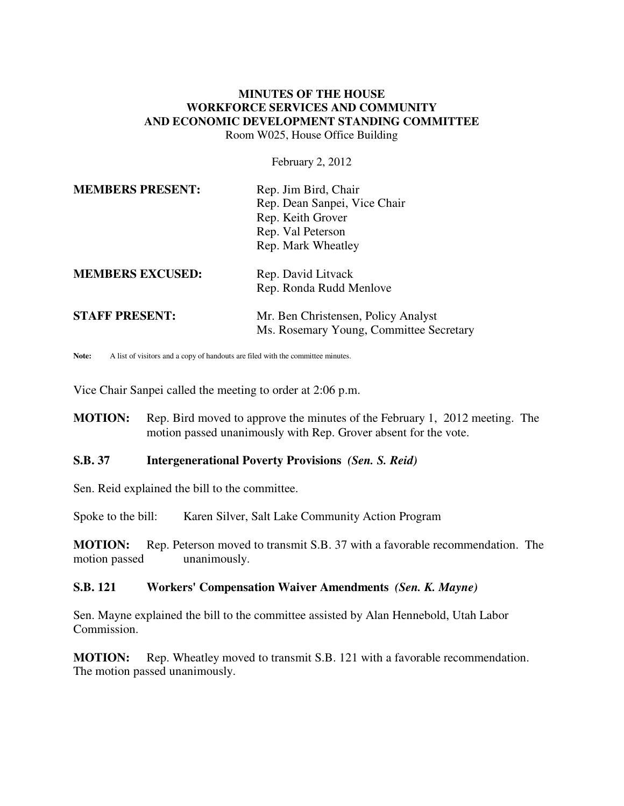## **MINUTES OF THE HOUSE WORKFORCE SERVICES AND COMMUNITY AND ECONOMIC DEVELOPMENT STANDING COMMITTEE** Room W025, House Office Building

February 2, 2012

| <b>MEMBERS PRESENT:</b> | Rep. Jim Bird, Chair<br>Rep. Dean Sanpei, Vice Chair<br>Rep. Keith Grover<br>Rep. Val Peterson<br>Rep. Mark Wheatley |
|-------------------------|----------------------------------------------------------------------------------------------------------------------|
| <b>MEMBERS EXCUSED:</b> | Rep. David Litvack<br>Rep. Ronda Rudd Menlove                                                                        |
| <b>STAFF PRESENT:</b>   | Mr. Ben Christensen, Policy Analyst<br>Ms. Rosemary Young, Committee Secretary                                       |

Note: A list of visitors and a copy of handouts are filed with the committee minutes.

Vice Chair Sanpei called the meeting to order at 2:06 p.m.

**MOTION:** Rep. Bird moved to approve the minutes of the February 1, 2012 meeting. The motion passed unanimously with Rep. Grover absent for the vote.

## **S.B. 37 Intergenerational Poverty Provisions** *(Sen. S. Reid)*

Sen. Reid explained the bill to the committee.

Spoke to the bill: Karen Silver, Salt Lake Community Action Program

**MOTION:** Rep. Peterson moved to transmit S.B. 37 with a favorable recommendation. The motion passed unanimously.

## **S.B. 121 Workers' Compensation Waiver Amendments** *(Sen. K. Mayne)*

Sen. Mayne explained the bill to the committee assisted by Alan Hennebold, Utah Labor Commission.

**MOTION:** Rep. Wheatley moved to transmit S.B. 121 with a favorable recommendation. The motion passed unanimously.